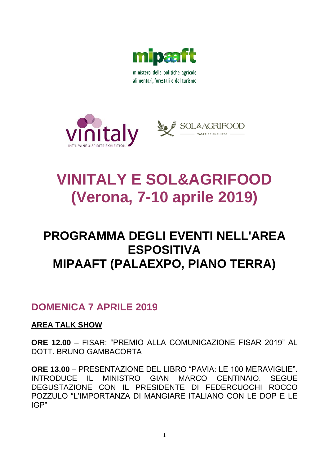

ministero delle politiche agricole alimentari, forestali e del turismo





# **VINITALY E SOL&AGRIFOOD (Verona, 7-10 aprile 2019)**

## **PROGRAMMA DEGLI EVENTI NELL'AREA ESPOSITIVA MIPAAFT (PALAEXPO, PIANO TERRA)**

### **DOMENICA 7 APRILE 2019**

### **AREA TALK SHOW**

**ORE 12.00** – FISAR: "PREMIO ALLA COMUNICAZIONE FISAR 2019" AL DOTT. BRUNO GAMBACORTA

**ORE 13.00** – PRESENTAZIONE DEL LIBRO "PAVIA: LE 100 MERAVIGLIE". INTRODUCE IL MINISTRO GIAN MARCO CENTINAIO. SEGUE DEGUSTAZIONE CON IL PRESIDENTE DI FEDERCUOCHI ROCCO POZZULO "L'IMPORTANZA DI MANGIARE ITALIANO CON LE DOP E LE IGP"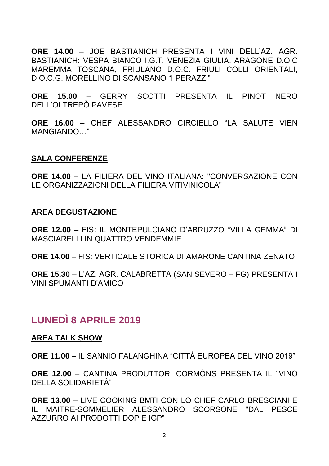**ORE 14.00** – JOE BASTIANICH PRESENTA I VINI DELL'AZ. AGR. BASTIANICH: VESPA BIANCO I.G.T. VENEZIA GIULIA, ARAGONE D.O.C MAREMMA TOSCANA, FRIULANO D.O.C. FRIULI COLLI ORIENTALI, D.O.C.G. MORELLINO DI SCANSANO "I PERAZZI"

**ORE 15.00** – GERRY SCOTTI PRESENTA IL PINOT NERO DELL'OLTREPÒ PAVESE

**ORE 16.00** – CHEF ALESSANDRO CIRCIELLO "LA SALUTE VIEN MANGIANDO…"

### **SALA CONFERENZE**

**ORE 14.00** – LA FILIERA DEL VINO ITALIANA: "CONVERSAZIONE CON LE ORGANIZZAZIONI DELLA FILIERA VITIVINICOLA"

### **AREA DEGUSTAZIONE**

**ORE 12.00** – FIS: IL MONTEPULCIANO D'ABRUZZO "VILLA GEMMA" DI MASCIARELLI IN QUATTRO VENDEMMIE

**ORE 14.00** – FIS: VERTICALE STORICA DI AMARONE CANTINA ZENATO

**ORE 15.30** – L'AZ. AGR. CALABRETTA (SAN SEVERO – FG) PRESENTA I VINI SPUMANTI D'AMICO

### **LUNEDÌ 8 APRILE 2019**

#### **AREA TALK SHOW**

**ORE 11.00** – IL SANNIO FALANGHINA "CITTÀ EUROPEA DEL VINO 2019"

**ORE 12.00** – CANTINA PRODUTTORI CORMÒNS PRESENTA IL "VINO DELLA SOLIDARIETÀ"

**ORE 13.00** – LIVE COOKING BMTI CON LO CHEF CARLO BRESCIANI E IL MAITRE-SOMMELIER ALESSANDRO SCORSONE "DAL PESCE AZZURRO AI PRODOTTI DOP E IGP"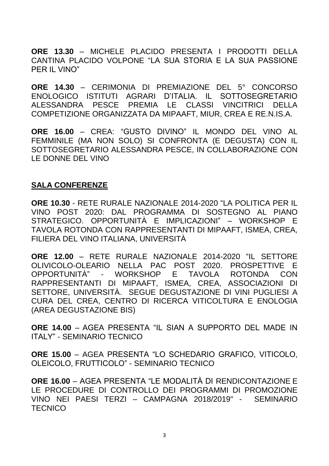**ORE 13.30** – MICHELE PLACIDO PRESENTA I PRODOTTI DELLA CANTINA PLACIDO VOLPONE "LA SUA STORIA E LA SUA PASSIONE PER IL VINO"

**ORE 14.30** – CERIMONIA DI PREMIAZIONE DEL 5° CONCORSO ENOLOGICO ISTITUTI AGRARI D'ITALIA. IL SOTTOSEGRETARIO ALESSANDRA PESCE PREMIA LE CLASSI VINCITRICI DELLA COMPETIZIONE ORGANIZZATA DA MIPAAFT, MIUR, CREA E RE.N.IS.A.

**ORE 16.00** – CREA: "GUSTO DIVINO" IL MONDO DEL VINO AL FEMMINILE (MA NON SOLO) SI CONFRONTA (E DEGUSTA) CON IL SOTTOSEGRETARIO ALESSANDRA PESCE, IN COLLABORAZIONE CON LE DONNE DEL VINO

### **SALA CONFERENZE**

**ORE 10.30** - RETE RURALE NAZIONALE 2014-2020 "LA POLITICA PER IL VINO POST 2020: DAL PROGRAMMA DI SOSTEGNO AL PIANO STRATEGICO. OPPORTUNITÀ E IMPLICAZIONI" – WORKSHOP E TAVOLA ROTONDA CON RAPPRESENTANTI DI MIPAAFT, ISMEA, CREA, FILIERA DEL VINO ITALIANA, UNIVERSITÀ

**ORE 12.00** – RETE RURALE NAZIONALE 2014-2020 "IL SETTORE OLIVICOLO-OLEARIO NELLA PAC POST 2020. PROSPETTIVE E OPPORTUNITÀ" - WORKSHOP E TAVOLA ROTONDA CON RAPPRESENTANTI DI MIPAAFT, ISMEA, CREA, ASSOCIAZIONI DI SETTORE, UNIVERSITÀ. SEGUE DEGUSTAZIONE DI VINI PUGLIESI A CURA DEL CREA, CENTRO DI RICERCA VITICOLTURA E ENOLOGIA (AREA DEGUSTAZIONE BIS)

**ORE 14.00** – AGEA PRESENTA "IL SIAN A SUPPORTO DEL MADE IN ITALY" - SEMINARIO TECNICO

**ORE 15.00** – AGEA PRESENTA "LO SCHEDARIO GRAFICO, VITICOLO, OLEICOLO, FRUTTICOLO" - SEMINARIO TECNICO

**ORE 16.00** – AGEA PRESENTA "LE MODALITÀ DI RENDICONTAZIONE E LE PROCEDURE DI CONTROLLO DEI PROGRAMMI DI PROMOZIONE VINO NEI PAESI TERZI – CAMPAGNA 2018/2019" - SEMINARIO **TECNICO**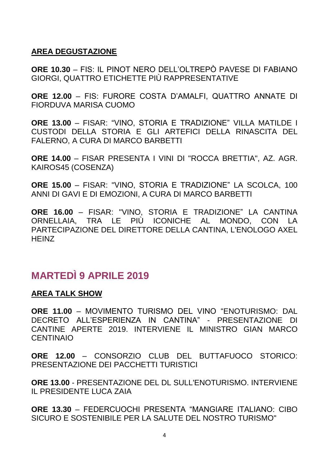### **AREA DEGUSTAZIONE**

**ORE 10.30** – FIS: IL PINOT NERO DELL'OLTREPÒ PAVESE DI FABIANO GIORGI, QUATTRO ETICHETTE PIÙ RAPPRESENTATIVE

**ORE 12.00** – FIS: FURORE COSTA D'AMALFI, QUATTRO ANNATE DI FIORDUVA MARISA CUOMO

**ORE 13.00** – FISAR: "VINO, STORIA E TRADIZIONE" VILLA MATILDE I CUSTODI DELLA STORIA E GLI ARTEFICI DELLA RINASCITA DEL FALERNO, A CURA DI MARCO BARBETTI

**ORE 14.00** – FISAR PRESENTA I VINI DI "ROCCA BRETTIA", AZ. AGR. KAIROS45 (COSENZA)

**ORE 15.00** – FISAR: "VINO, STORIA E TRADIZIONE" LA SCOLCA, 100 ANNI DI GAVI E DI EMOZIONI, A CURA DI MARCO BARBETTI

**ORE 16.00** – FISAR: "VINO, STORIA E TRADIZIONE" LA CANTINA ORNELLAIA, TRA LE PIÙ ICONICHE AL MONDO, CON LA PARTECIPAZIONE DEL DIRETTORE DELLA CANTINA, L'ENOLOGO AXEL **HEINZ** 

### **MARTEDÌ 9 APRILE 2019**

### **AREA TALK SHOW**

**ORE 11.00** – MOVIMENTO TURISMO DEL VINO "ENOTURISMO: DAL DECRETO ALL'ESPERIENZA IN CANTINA" - PRESENTAZIONE DI CANTINE APERTE 2019. INTERVIENE IL MINISTRO GIAN MARCO **CENTINAIO** 

**ORE 12.00** – CONSORZIO CLUB DEL BUTTAFUOCO STORICO: PRESENTAZIONE DEI PACCHETTI TURISTICI

**ORE 13.00** - PRESENTAZIONE DEL DL SULL'ENOTURISMO. INTERVIENE IL PRESIDENTE LUCA ZAIA

**ORE 13.30** – FEDERCUOCHI PRESENTA "MANGIARE ITALIANO: CIBO SICURO E SOSTENIBILE PER LA SALUTE DEL NOSTRO TURISMO"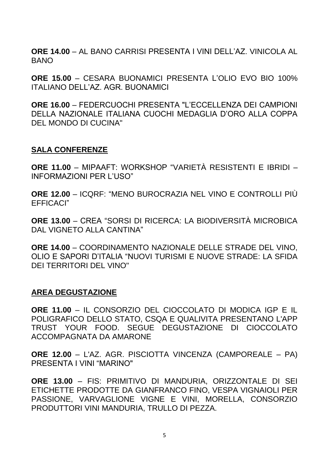**ORE 14.00** – AL BANO CARRISI PRESENTA I VINI DELL'AZ. VINICOLA AL BANO

**ORE 15.00** – CESARA BUONAMICI PRESENTA L'OLIO EVO BIO 100% ITALIANO DELL'AZ. AGR. BUONAMICI

**ORE 16.00** – FEDERCUOCHI PRESENTA "L'ECCELLENZA DEI CAMPIONI DELLA NAZIONALE ITALIANA CUOCHI MEDAGLIA D'ORO ALLA COPPA DEL MONDO DI CUCINA"

### **SALA CONFERENZE**

**ORE 11.00** – MIPAAFT: WORKSHOP "VARIETÀ RESISTENTI E IBRIDI – INFORMAZIONI PER L'USO"

**ORE 12.00** – ICQRF: "MENO BUROCRAZIA NEL VINO E CONTROLLI PIÙ EFFICACI"

**ORE 13.00** – CREA "SORSI DI RICERCA: LA BIODIVERSITÀ MICROBICA DAL VIGNETO ALLA CANTINA"

**ORE 14.00** – COORDINAMENTO NAZIONALE DELLE STRADE DEL VINO, OLIO E SAPORI D'ITALIA "NUOVI TURISMI E NUOVE STRADE: LA SFIDA DEI TERRITORI DEL VINO"

### **AREA DEGUSTAZIONE**

**ORE 11.00** – IL CONSORZIO DEL CIOCCOLATO DI MODICA IGP E IL POLIGRAFICO DELLO STATO, CSQA E QUALIVITA PRESENTANO L'APP TRUST YOUR FOOD. SEGUE DEGUSTAZIONE DI CIOCCOLATO ACCOMPAGNATA DA AMARONE

**ORE 12.00** – L'AZ. AGR. PISCIOTTA VINCENZA (CAMPOREALE – PA) PRESENTA I VINI "MARINO"

**ORE 13.00** – FIS: PRIMITIVO DI MANDURIA, ORIZZONTALE DI SEI ETICHETTE PRODOTTE DA GIANFRANCO FINO, VESPA VIGNAIOLI PER PASSIONE, VARVAGLIONE VIGNE E VINI, MORELLA, CONSORZIO PRODUTTORI VINI MANDURIA, TRULLO DI PEZZA.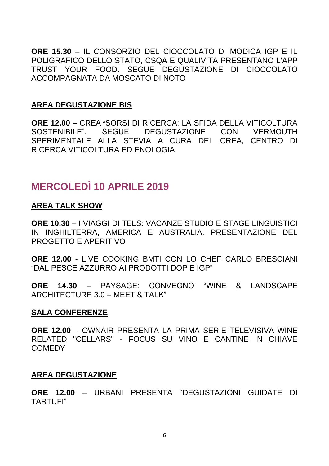**ORE 15.30** – IL CONSORZIO DEL CIOCCOLATO DI MODICA IGP E IL POLIGRAFICO DELLO STATO, CSQA E QUALIVITA PRESENTANO L'APP TRUST YOUR FOOD. SEGUE DEGUSTAZIONE DI CIOCCOLATO ACCOMPAGNATA DA MOSCATO DI NOTO

### **AREA DEGUSTAZIONE BIS**

**ORE 12.00** – CREA "SORSI DI RICERCA: LA SFIDA DELLA VITICOLTURA SOSTENIBILE". SEGUE DEGUSTAZIONE CON VERMOUTH SPERIMENTALE ALLA STEVIA A CURA DEL CREA, CENTRO DI RICERCA VITICOLTURA ED ENOLOGIA

### **MERCOLEDÌ 10 APRILE 2019**

### **AREA TALK SHOW**

**ORE 10.30** – I VIAGGI DI TELS: VACANZE STUDIO E STAGE LINGUISTICI IN INGHILTERRA, AMERICA E AUSTRALIA. PRESENTAZIONE DEL PROGETTO E APERITIVO

**ORE 12.00** - LIVE COOKING BMTI CON LO CHEF CARLO BRESCIANI "DAL PESCE AZZURRO AI PRODOTTI DOP E IGP"

**ORE 14.30** – PAYSAGE: CONVEGNO "WINE & LANDSCAPE ARCHITECTURE 3.0 – MEET & TALK"

### **SALA CONFERENZE**

**ORE 12.00** – OWNAIR PRESENTA LA PRIMA SERIE TELEVISIVA WINE RELATED "CELLARS" - FOCUS SU VINO E CANTINE IN CHIAVE **COMEDY** 

### **AREA DEGUSTAZIONE**

**ORE 12.00** – URBANI PRESENTA "DEGUSTAZIONI GUIDATE DI TARTUFI"